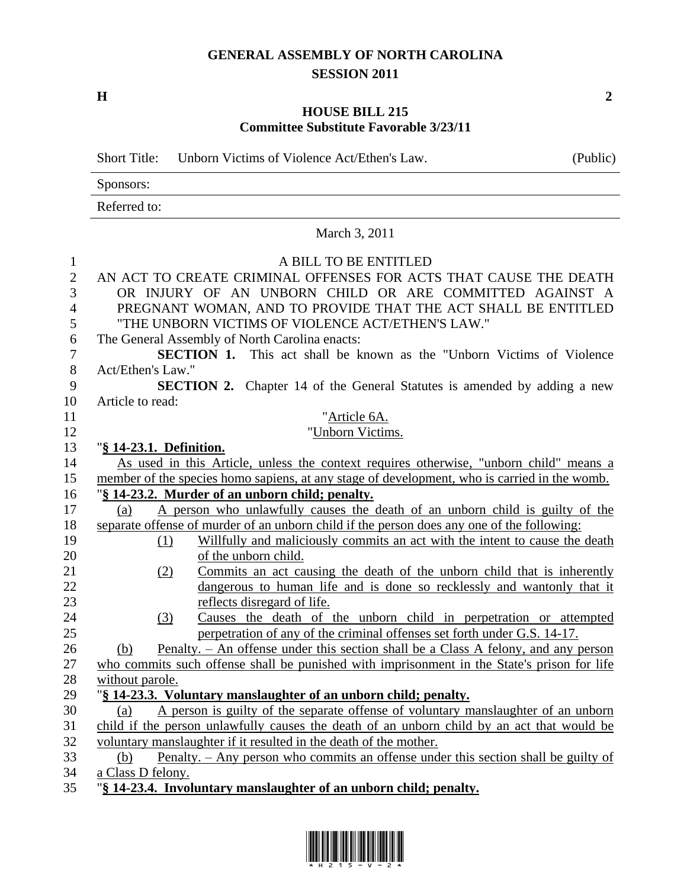## **GENERAL ASSEMBLY OF NORTH CAROLINA SESSION 2011**

**H 2**

## **HOUSE BILL 215 Committee Substitute Favorable 3/23/11**

|                | Unborn Victims of Violence Act/Ethen's Law.<br><b>Short Title:</b>                                                                                   | (Public) |  |  |
|----------------|------------------------------------------------------------------------------------------------------------------------------------------------------|----------|--|--|
|                | Sponsors:                                                                                                                                            |          |  |  |
|                | Referred to:                                                                                                                                         |          |  |  |
|                | March 3, 2011                                                                                                                                        |          |  |  |
| 1              | A BILL TO BE ENTITLED                                                                                                                                |          |  |  |
| $\overline{2}$ | AN ACT TO CREATE CRIMINAL OFFENSES FOR ACTS THAT CAUSE THE DEATH                                                                                     |          |  |  |
| 3              | OR INJURY OF AN UNBORN CHILD OR ARE COMMITTED AGAINST A                                                                                              |          |  |  |
| $\overline{4}$ | PREGNANT WOMAN, AND TO PROVIDE THAT THE ACT SHALL BE ENTITLED                                                                                        |          |  |  |
| 5              | "THE UNBORN VICTIMS OF VIOLENCE ACT/ETHEN'S LAW."                                                                                                    |          |  |  |
| 6              | The General Assembly of North Carolina enacts:                                                                                                       |          |  |  |
| $\tau$         | <b>SECTION 1.</b> This act shall be known as the "Unborn Victims of Violence"                                                                        |          |  |  |
| $8\,$          | Act/Ethen's Law."                                                                                                                                    |          |  |  |
| 9              | <b>SECTION 2.</b> Chapter 14 of the General Statutes is amended by adding a new                                                                      |          |  |  |
| 10             | Article to read:                                                                                                                                     |          |  |  |
| 11             | "Article 6A.                                                                                                                                         |          |  |  |
| 12             | "Unborn Victims.                                                                                                                                     |          |  |  |
| 13             | "§ 14-23.1. Definition.                                                                                                                              |          |  |  |
| 14             | As used in this Article, unless the context requires otherwise, "unborn child" means a                                                               |          |  |  |
| 15             | member of the species homo sapiens, at any stage of development, who is carried in the womb.                                                         |          |  |  |
| 16             | "§ 14-23.2. Murder of an unborn child; penalty.                                                                                                      |          |  |  |
| 17             | A person who unlawfully causes the death of an unborn child is guilty of the<br>(a)                                                                  |          |  |  |
| 18             | separate offense of murder of an unborn child if the person does any one of the following:                                                           |          |  |  |
| 19             | Willfully and maliciously commits an act with the intent to cause the death<br>(1)                                                                   |          |  |  |
| 20             | of the unborn child.                                                                                                                                 |          |  |  |
| 21             | Commits an act causing the death of the unborn child that is inherently<br>(2)                                                                       |          |  |  |
| 22             | dangerous to human life and is done so recklessly and wantonly that it                                                                               |          |  |  |
| 23<br>24       | reflects disregard of life.                                                                                                                          |          |  |  |
| 25             | Causes the death of the unborn child in perpetration or attempted<br>(3)<br>perpetration of any of the criminal offenses set forth under G.S. 14-17. |          |  |  |
| 26             | Penalty. – An offense under this section shall be a Class A felony, and any person<br>(b)                                                            |          |  |  |
| 27             | who commits such offense shall be punished with imprisonment in the State's prison for life                                                          |          |  |  |
| 28             | without parole.                                                                                                                                      |          |  |  |
| 29             | "§ 14-23.3. Voluntary manslaughter of an unborn child; penalty.                                                                                      |          |  |  |
| 30             | A person is guilty of the separate offense of voluntary manslaughter of an unborn<br>(a)                                                             |          |  |  |
| 31             | child if the person unlawfully causes the death of an unborn child by an act that would be                                                           |          |  |  |
| 32             | voluntary manslaughter if it resulted in the death of the mother.                                                                                    |          |  |  |
| 33             | Penalty. – Any person who commits an offense under this section shall be guilty of<br>(b)                                                            |          |  |  |
| 34             | a Class D felony.                                                                                                                                    |          |  |  |
| 35             | "§ 14-23.4. Involuntary manslaughter of an unborn child; penalty.                                                                                    |          |  |  |



 $\overline{\phantom{0}}$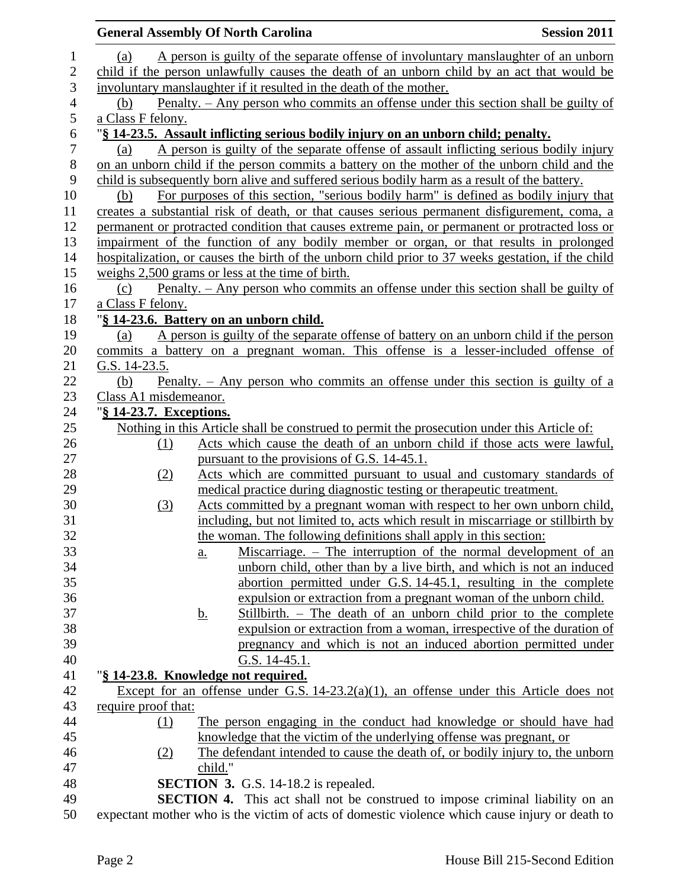|                  |                         | <b>General Assembly Of North Carolina</b>                                                                                                                    | <b>Session 2011</b> |  |
|------------------|-------------------------|--------------------------------------------------------------------------------------------------------------------------------------------------------------|---------------------|--|
| 1                | (a)                     | A person is guilty of the separate offense of involuntary manslaughter of an unborn                                                                          |                     |  |
| $\overline{2}$   |                         | child if the person unlawfully causes the death of an unborn child by an act that would be                                                                   |                     |  |
| 3                |                         | involuntary manslaughter if it resulted in the death of the mother.                                                                                          |                     |  |
| $\overline{4}$   | (b)                     | <u>Penalty. – Any person who commits an offense under this section shall be guilty of</u>                                                                    |                     |  |
| 5                | a Class F felony.       |                                                                                                                                                              |                     |  |
| $\boldsymbol{6}$ |                         | "§ 14-23.5. Assault inflicting serious bodily injury on an unborn child; penalty.                                                                            |                     |  |
| $\boldsymbol{7}$ | (a)                     | A person is guilty of the separate offense of assault inflicting serious bodily injury                                                                       |                     |  |
| $8\,$            |                         | on an unborn child if the person commits a battery on the mother of the unborn child and the                                                                 |                     |  |
| 9                |                         | child is subsequently born alive and suffered serious bodily harm as a result of the battery.                                                                |                     |  |
| 10               | (b)                     | For purposes of this section, "serious bodily harm" is defined as bodily injury that                                                                         |                     |  |
| 11               |                         | creates a substantial risk of death, or that causes serious permanent disfigurement, coma, a                                                                 |                     |  |
| 12               |                         | permanent or protracted condition that causes extreme pain, or permanent or protracted loss or                                                               |                     |  |
| 13               |                         | impairment of the function of any bodily member or organ, or that results in prolonged                                                                       |                     |  |
| 14               |                         | hospitalization, or causes the birth of the unborn child prior to 37 weeks gestation, if the child                                                           |                     |  |
| 15               |                         | weighs 2,500 grams or less at the time of birth.                                                                                                             |                     |  |
| 16               | (c)                     | Penalty. – Any person who commits an offense under this section shall be guilty of                                                                           |                     |  |
| 17               | a Class F felony.       |                                                                                                                                                              |                     |  |
| 18               |                         | "§ 14-23.6. Battery on an unborn child.                                                                                                                      |                     |  |
| 19               | (a)                     | A person is guilty of the separate offense of battery on an unborn child if the person                                                                       |                     |  |
| 20               |                         | commits a battery on a pregnant woman. This offense is a lesser-included offense of                                                                          |                     |  |
| 21               | G.S. 14-23.5.           |                                                                                                                                                              |                     |  |
| 22               | (b)                     | Penalty. $-$ Any person who commits an offense under this section is guilty of a                                                                             |                     |  |
| 23               | Class A1 misdemeanor.   |                                                                                                                                                              |                     |  |
| 24               | "§ 14-23.7. Exceptions. |                                                                                                                                                              |                     |  |
| 25               |                         | Nothing in this Article shall be construed to permit the prosecution under this Article of:                                                                  |                     |  |
| 26               | (1)                     | Acts which cause the death of an unborn child if those acts were lawful,                                                                                     |                     |  |
| 27               |                         | pursuant to the provisions of G.S. 14-45.1.                                                                                                                  |                     |  |
| 28               | (2)                     | Acts which are committed pursuant to usual and customary standards of                                                                                        |                     |  |
| 29               |                         | medical practice during diagnostic testing or therapeutic treatment.                                                                                         |                     |  |
| 30<br>31         | (3)                     | Acts committed by a pregnant woman with respect to her own unborn child,<br>including, but not limited to, acts which result in miscarriage or stillbirth by |                     |  |
| 32               |                         | the woman. The following definitions shall apply in this section:                                                                                            |                     |  |
| 33               |                         | Miscarriage. – The interruption of the normal development of an                                                                                              |                     |  |
| 34               |                         | <u>a.</u><br>unborn child, other than by a live birth, and which is not an induced                                                                           |                     |  |
| 35               |                         | abortion permitted under G.S. 14-45.1, resulting in the complete                                                                                             |                     |  |
| 36               |                         | expulsion or extraction from a pregnant woman of the unborn child.                                                                                           |                     |  |
| 37               |                         | Stillbirth. – The death of an unborn child prior to the complete<br><u>b.</u>                                                                                |                     |  |
| 38               |                         | expulsion or extraction from a woman, irrespective of the duration of                                                                                        |                     |  |
| 39               |                         | pregnancy and which is not an induced abortion permitted under                                                                                               |                     |  |
| 40               |                         | G.S. 14-45.1.                                                                                                                                                |                     |  |
| 41               |                         | "§ 14-23.8. Knowledge not required.                                                                                                                          |                     |  |
| 42               |                         | Except for an offense under G.S. $14-23.2(a)(1)$ , an offense under this Article does not                                                                    |                     |  |
| 43               | require proof that:     |                                                                                                                                                              |                     |  |
| 44               | (1)                     | The person engaging in the conduct had knowledge or should have had                                                                                          |                     |  |
| 45               |                         | knowledge that the victim of the underlying offense was pregnant, or                                                                                         |                     |  |
| 46               | (2)                     | The defendant intended to cause the death of, or bodily injury to, the unborn                                                                                |                     |  |
| 47               |                         | child."                                                                                                                                                      |                     |  |
| 48               |                         | <b>SECTION 3.</b> G.S. 14-18.2 is repealed.                                                                                                                  |                     |  |
| 49               |                         | SECTION 4. This act shall not be construed to impose criminal liability on an                                                                                |                     |  |
| 50               |                         | expectant mother who is the victim of acts of domestic violence which cause injury or death to                                                               |                     |  |